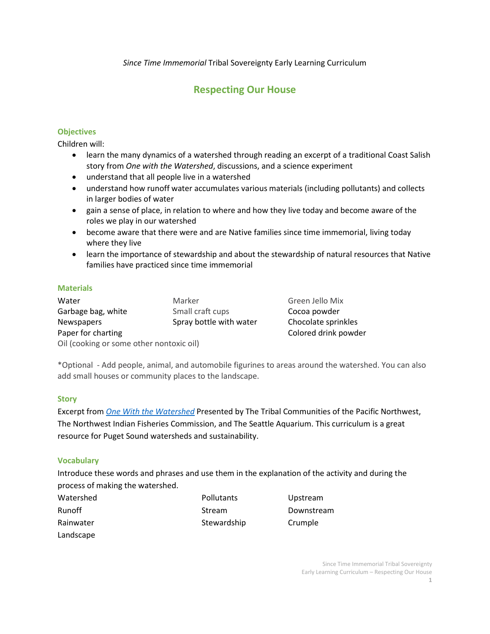*Since Time Immemorial* Tribal Sovereignty Early Learning Curriculum

# **Respecting Our House**

### **Objectives**

Children will:

- learn the many dynamics of a watershed through reading an excerpt of a traditional Coast Salish story from *One with the Watershed*, discussions, and a science experiment
- understand that all people live in a watershed
- understand how runoff water accumulates various materials (including pollutants) and collects in larger bodies of water
- gain a sense of place, in relation to where and how they live today and become aware of the roles we play in our watershed
- become aware that there were and are Native families since time immemorial, living today where they live
- learn the importance of stewardship and about the stewardship of natural resources that Native families have practiced since time immemorial

### **Materials**

| Water                                    | Marker                 |  |
|------------------------------------------|------------------------|--|
| Garbage bag, white                       | Small craft cups       |  |
| <b>Newspapers</b>                        | Spray bottle with wate |  |
| Paper for charting                       |                        |  |
| Oil (cooking or some other nontoxic oil) |                        |  |

Green Jello Mix Cocoa powder er Chocolate sprinkles Colored drink powder

\*Optional - Add people, animal, and automobile figurines to areas around the watershed. You can also add small houses or community places to the landscape.

### **Story**

Excerpt from *[One With the Watershed](http://www.k12.wa.us/IndianEd/Curriculum/OneWiththeWatershed.pdf)* Presented by The Tribal Communities of the Pacific Northwest, The Northwest Indian Fisheries Commission, and The Seattle Aquarium. This curriculum is a great resource for Puget Sound watersheds and sustainability.

### **Vocabulary**

Introduce these words and phrases and use them in the explanation of the activity and during the process of making the watershed.

| Watershed     | Pollutants  | Upstrear |
|---------------|-------------|----------|
| <b>Runoff</b> | Stream      | Downstr  |
| Rainwater     | Stewardship | Crumple  |
| Landscape     |             |          |

Upstream Downstream

> Since Time Immemorial Tribal Sovereignty Early Learning Curriculum – Respecting Our House **1**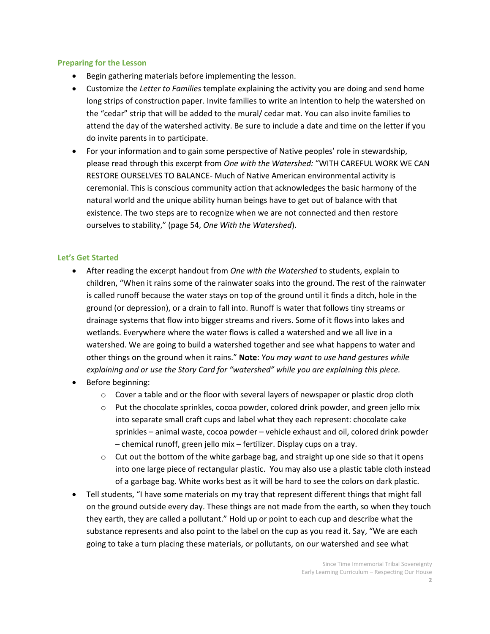#### **Preparing for the Lesson**

- Begin gathering materials before implementing the lesson.
- Customize the *Letter to Families* template explaining the activity you are doing and send home long strips of construction paper. Invite families to write an intention to help the watershed on the "cedar" strip that will be added to the mural/ cedar mat. You can also invite families to attend the day of the watershed activity. Be sure to include a date and time on the letter if you do invite parents in to participate.
- For your information and to gain some perspective of Native peoples' role in stewardship, please read through this excerpt from *One with the Watershed:* "WITH CAREFUL WORK WE CAN RESTORE OURSELVES TO BALANCE- Much of Native American environmental activity is ceremonial. This is conscious community action that acknowledges the basic harmony of the natural world and the unique ability human beings have to get out of balance with that existence. The two steps are to recognize when we are not connected and then restore ourselves to stability," (page 54, *One With the Watershed*).

### **Let's Get Started**

- After reading the excerpt handout from *One with the Watershed* to students, explain to children, "When it rains some of the rainwater soaks into the ground. The rest of the rainwater is called runoff because the water stays on top of the ground until it finds a ditch, hole in the ground (or depression), or a drain to fall into. Runoff is water that follows tiny streams or drainage systems that flow into bigger streams and rivers. Some of it flows into lakes and wetlands. Everywhere where the water flows is called a watershed and we all live in a watershed. We are going to build a watershed together and see what happens to water and other things on the ground when it rains." **Note**: *You may want to use hand gestures while explaining and or use the Story Card for "watershed" while you are explaining this piece.*
- Before beginning:
	- $\circ$  Cover a table and or the floor with several layers of newspaper or plastic drop cloth
	- $\circ$  Put the chocolate sprinkles, cocoa powder, colored drink powder, and green jello mix into separate small craft cups and label what they each represent: chocolate cake sprinkles – animal waste, cocoa powder – vehicle exhaust and oil, colored drink powder – chemical runoff, green jello mix – fertilizer. Display cups on a tray.
	- $\circ$  Cut out the bottom of the white garbage bag, and straight up one side so that it opens into one large piece of rectangular plastic. You may also use a plastic table cloth instead of a garbage bag. White works best as it will be hard to see the colors on dark plastic.
- Tell students, "I have some materials on my tray that represent different things that might fall on the ground outside every day. These things are not made from the earth, so when they touch they earth, they are called a pollutant." Hold up or point to each cup and describe what the substance represents and also point to the label on the cup as you read it. Say, "We are each going to take a turn placing these materials, or pollutants, on our watershed and see what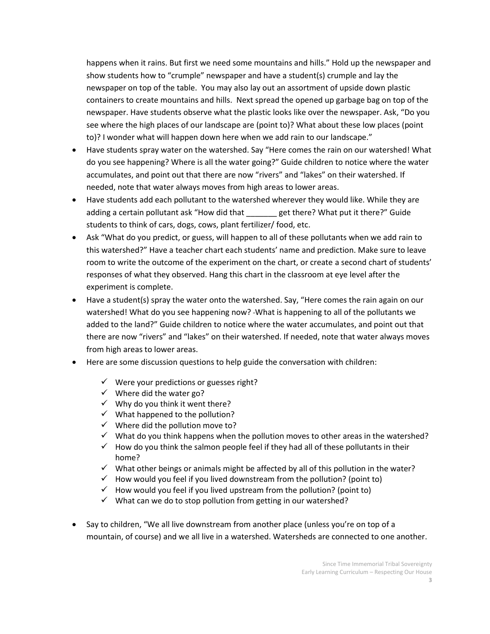happens when it rains. But first we need some mountains and hills." Hold up the newspaper and show students how to "crumple" newspaper and have a student(s) crumple and lay the newspaper on top of the table. You may also lay out an assortment of upside down plastic containers to create mountains and hills. Next spread the opened up garbage bag on top of the newspaper. Have students observe what the plastic looks like over the newspaper. Ask, "Do you see where the high places of our landscape are (point to)? What about these low places (point to)? I wonder what will happen down here when we add rain to our landscape."

- Have students spray water on the watershed. Say "Here comes the rain on our watershed! What do you see happening? Where is all the water going?" Guide children to notice where the water accumulates, and point out that there are now "rivers" and "lakes" on their watershed. If needed, note that water always moves from high areas to lower areas.
- Have students add each pollutant to the watershed wherever they would like. While they are adding a certain pollutant ask "How did that each there? What put it there?" Guide students to think of cars, dogs, cows, plant fertilizer/ food, etc.
- Ask "What do you predict, or guess, will happen to all of these pollutants when we add rain to this watershed?" Have a teacher chart each students' name and prediction. Make sure to leave room to write the outcome of the experiment on the chart, or create a second chart of students' responses of what they observed. Hang this chart in the classroom at eye level after the experiment is complete.
- Have a student(s) spray the water onto the watershed. Say, "Here comes the rain again on our watershed! What do you see happening now? What is happening to all of the pollutants we added to the land?" Guide children to notice where the water accumulates, and point out that there are now "rivers" and "lakes" on their watershed. If needed, note that water always moves from high areas to lower areas.
- Here are some discussion questions to help guide the conversation with children:
	- $\checkmark$  Were your predictions or guesses right?
	- $\checkmark$  Where did the water go?
	- $\checkmark$  Why do you think it went there?
	- $\checkmark$  What happened to the pollution?
	- $\checkmark$  Where did the pollution move to?
	- $\checkmark$  What do you think happens when the pollution moves to other areas in the watershed?
	- $\checkmark$  How do you think the salmon people feel if they had all of these pollutants in their home?
	- $\checkmark$  What other beings or animals might be affected by all of this pollution in the water?
	- $\checkmark$  How would you feel if you lived downstream from the pollution? (point to)
	- $\checkmark$  How would you feel if you lived upstream from the pollution? (point to)
	- $\checkmark$  What can we do to stop pollution from getting in our watershed?
- Say to children, "We all live downstream from another place (unless you're on top of a mountain, of course) and we all live in a watershed. Watersheds are connected to one another.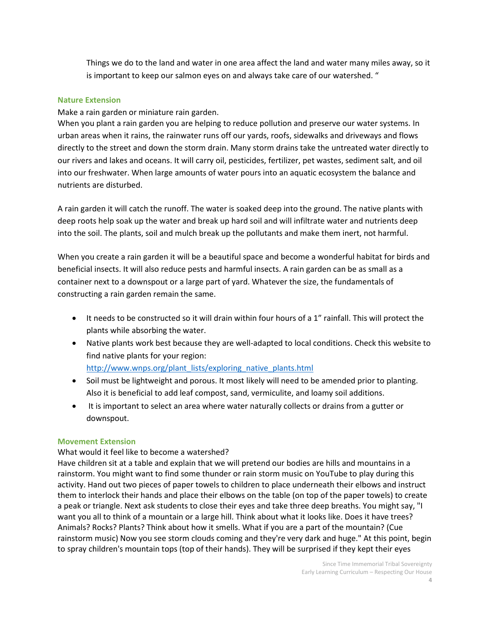Things we do to the land and water in one area affect the land and water many miles away, so it is important to keep our salmon eyes on and always take care of our watershed. "

#### **Nature Extension**

Make a rain garden or miniature rain garden.

When you plant a rain garden you are helping to reduce pollution and preserve our water systems. In urban areas when it rains, the rainwater runs off our yards, roofs, sidewalks and driveways and flows directly to the street and down the storm drain. Many storm drains take the untreated water directly to our rivers and lakes and oceans. It will carry oil, pesticides, fertilizer, pet wastes, sediment salt, and oil into our freshwater. When large amounts of water pours into an aquatic ecosystem the balance and nutrients are disturbed.

A rain garden it will catch the runoff. The water is soaked deep into the ground. The native plants with deep roots help soak up the water and break up hard soil and will infiltrate water and nutrients deep into the soil. The plants, soil and mulch break up the pollutants and make them inert, not harmful.

When you create a rain garden it will be a beautiful space and become a wonderful habitat for birds and beneficial insects. It will also reduce pests and harmful insects. A rain garden can be as small as a container next to a downspout or a large part of yard. Whatever the size, the fundamentals of constructing a rain garden remain the same.

- It needs to be constructed so it will drain within four hours of a 1" rainfall. This will protect the plants while absorbing the water.
- Native plants work best because they are well-adapted to local conditions. Check this website to find native plants for your region:

[http://www.wnps.org/plant\\_lists/exploring\\_native\\_plants.html](http://www.wnps.org/plant_lists/exploring_native_plants.html)

- Soil must be lightweight and porous. It most likely will need to be amended prior to planting. Also it is beneficial to add leaf compost, sand, vermiculite, and loamy soil additions.
- It is important to select an area where water naturally collects or drains from a gutter or downspout.

### **Movement Extension**

### What would it feel like to become a watershed?

Have children sit at a table and explain that we will pretend our bodies are hills and mountains in a rainstorm. You might want to find some thunder or rain storm music on YouTube to play during this activity. Hand out two pieces of paper towels to children to place underneath their elbows and instruct them to interlock their hands and place their elbows on the table (on top of the paper towels) to create a peak or triangle. Next ask students to close their eyes and take three deep breaths. You might say, "I want you all to think of a mountain or a large hill. Think about what it looks like. Does it have trees? Animals? Rocks? Plants? Think about how it smells. What if you are a part of the mountain? (Cue rainstorm music) Now you see storm clouds coming and they're very dark and huge." At this point, begin to spray children's mountain tops (top of their hands). They will be surprised if they kept their eyes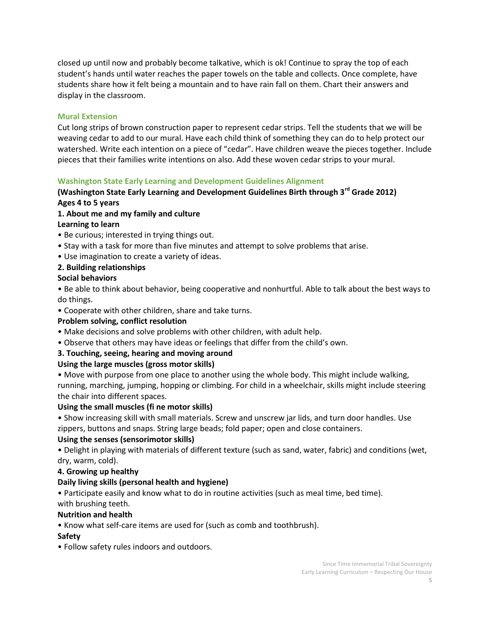closed up until now and probably become talkative, which is ok! Continue to spray the top of each student's hands until water reaches the paper towels on the table and collects. Once complete, have students share how it felt being a mountain and to have rain fall on them. Chart their answers and display in the classroom.

### **Mural Extension**

Cut long strips of brown construction paper to represent cedar strips. Tell the students that we will be weaving cedar to add to our mural. Have each child think of something they can do to help protect our watershed. Write each intention on a piece of "cedar". Have children weave the pieces together. Include pieces that their families write intentions on also. Add these woven cedar strips to your mural.

### **Washington State Early Learning and Development Guidelines Alignment**

# **(Washington State Early Learning and Development Guidelines Birth through 3rd Grade 2012) Ages 4 to 5 years**

# **1. About me and my family and culture**

### **Learning to learn**

- Be curious; interested in trying things out.
- Stay with a task for more than five minutes and attempt to solve problems that arise.
- Use imagination to create a variety of ideas.

### **2. Building relationships**

### **Social behaviors**

• Be able to think about behavior, being cooperative and nonhurtful. Able to talk about the best ways to do things.

• Cooperate with other children, share and take turns.

### **Problem solving, conflict resolution**

- Make decisions and solve problems with other children, with adult help.
- Observe that others may have ideas or feelings that differ from the child's own.

# **3. Touching, seeing, hearing and moving around**

# **Using the large muscles (gross motor skills)**

• Move with purpose from one place to another using the whole body. This might include walking, running, marching, jumping, hopping or climbing. For child in a wheelchair, skills might include steering the chair into different spaces.

### **Using the small muscles (fi ne motor skills)**

• Show increasing skill with small materials. Screw and unscrew jar lids, and turn door handles. Use zippers, buttons and snaps. String large beads; fold paper; open and close containers.

### **Using the senses (sensorimotor skills)**

• Delight in playing with materials of different texture (such as sand, water, fabric) and conditions (wet, dry, warm, cold).

# **4. Growing up healthy**

# **Daily living skills (personal health and hygiene)**

• Participate easily and know what to do in routine activities (such as meal time, bed time). with brushing teeth.

### **Nutrition and health**

• Know what self-care items are used for (such as comb and toothbrush).

# **Safety**

• Follow safety rules indoors and outdoors.